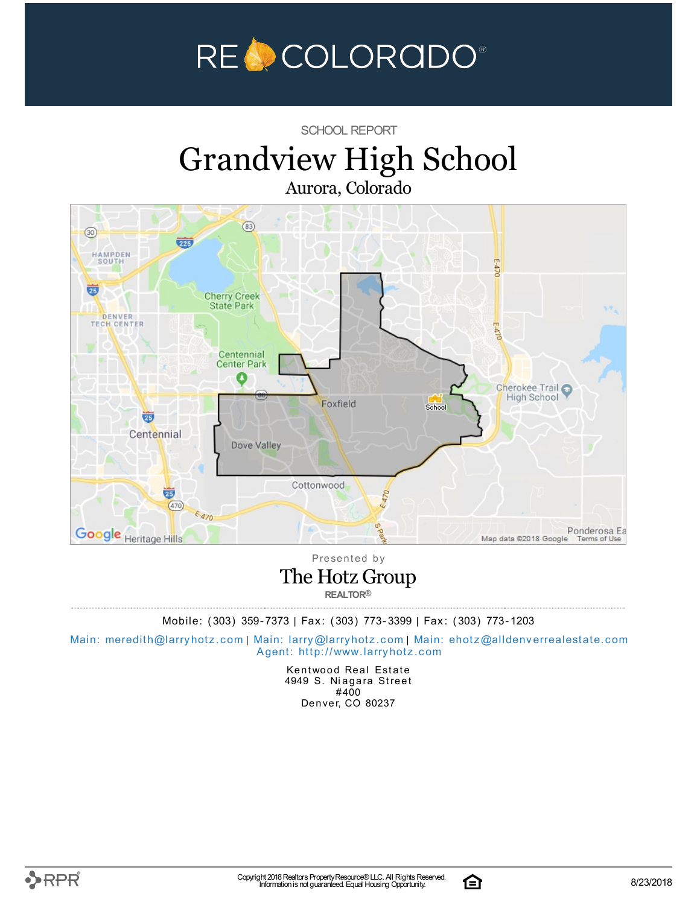

### SCHOOL REPORT

# Grandview High School Aurora, Colorado



Presented by The Hotz Group

**REALTOR®**

Mobile: (303) 359-7373 | Fax: (303) 773-3399 | Fax: (303) 773-1203

Main: meredith@la[rry](mailto:larry@larryhotz.com)hotz.com | Main: larry@larryhotz.com | Main: ehotz@alldenve[rre](mailto:ehotz@alldenverrealestate.com)alestate.com Agent: http://[www.](http://www.larryhotz.com)larryhotz.com

> Kentwood Real Estate 4949 S. Niagara Street #400 Denver, CO 80237

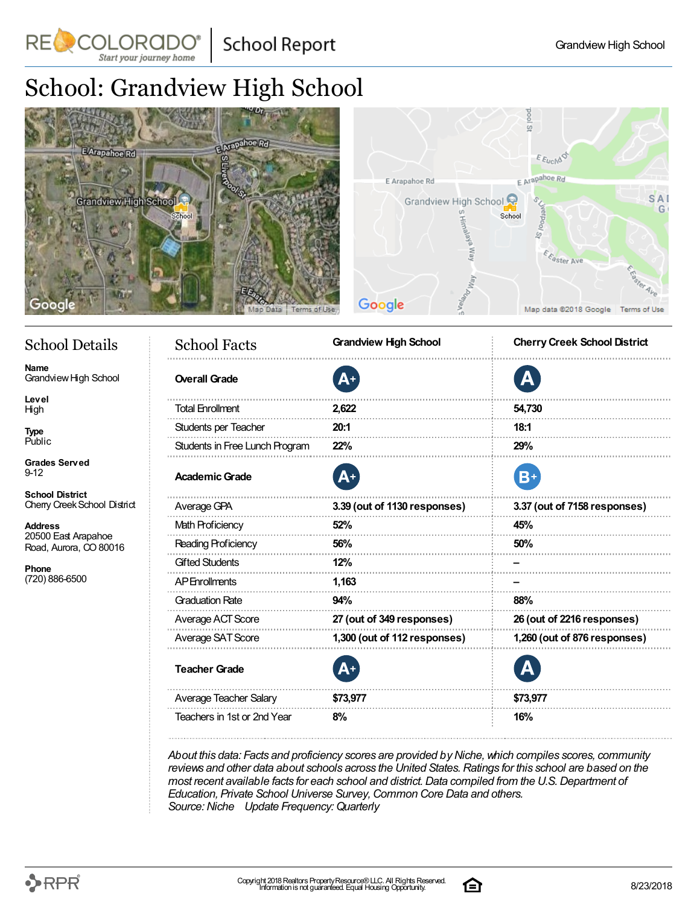**School Report** 

# School: Grandview High School

RE COLORADO®

Start your journey home



## School Details

**Name** Grandview High School

**Level** High

**Type** Public

**Grades Served** 9-12

**School District** Cherry CreekSchool District

**Address** 20500 East Arapahoe Road, Aurora, CO 80016

**Phone** (720) 886-6500

| <b>School Facts</b>            | <b>Grandview High School</b> | <b>Cherry Creek School District</b> |  |  |  |  |
|--------------------------------|------------------------------|-------------------------------------|--|--|--|--|
| <b>Overall Grade</b>           | A+                           | А                                   |  |  |  |  |
| <b>Total Enrollment</b>        | 2,622                        | 54,730                              |  |  |  |  |
| Students per Teacher           | 20:1                         | 18:1                                |  |  |  |  |
| Students in Free Lunch Program | 22%                          | 29%                                 |  |  |  |  |
| <b>Academic Grade</b>          | A+                           | $B+$                                |  |  |  |  |
| Average GPA                    | 3.39 (out of 1130 responses) | 3.37 (out of 7158 responses)        |  |  |  |  |
| <b>Math Proficiency</b>        | 52%                          | 45%                                 |  |  |  |  |
| Reading Proficiency            | 56%                          | 50%                                 |  |  |  |  |
| <b>Gifted Students</b>         | 12%                          |                                     |  |  |  |  |
| <b>AP</b> Enrollments          | 1,163                        |                                     |  |  |  |  |
| <b>Graduation Rate</b>         | 94%                          | 88%                                 |  |  |  |  |
| Average ACT Score              | 27 (out of 349 responses)    | 26 (out of 2216 responses)          |  |  |  |  |
| Average SAT Score              | 1,300 (out of 112 responses) | 1,260 (out of 876 responses)        |  |  |  |  |
| <b>Teacher Grade</b>           |                              |                                     |  |  |  |  |
| Average Teacher Salary         | \$73,977                     | \$73,977                            |  |  |  |  |
| Teachers in 1st or 2nd Year    | 8%                           | 16%                                 |  |  |  |  |

*About this data: Facts and proficiency scores are provided byNiche,which compiles scores, community reviews and other data about schools across the United States.Ratings for this school are based on the most recent available facts for each school and district.Data compiled from the U.S.Department of Education, Private School Universe Survey,Common Core Data and others. Source:Niche Update Frequency:Quarterly*

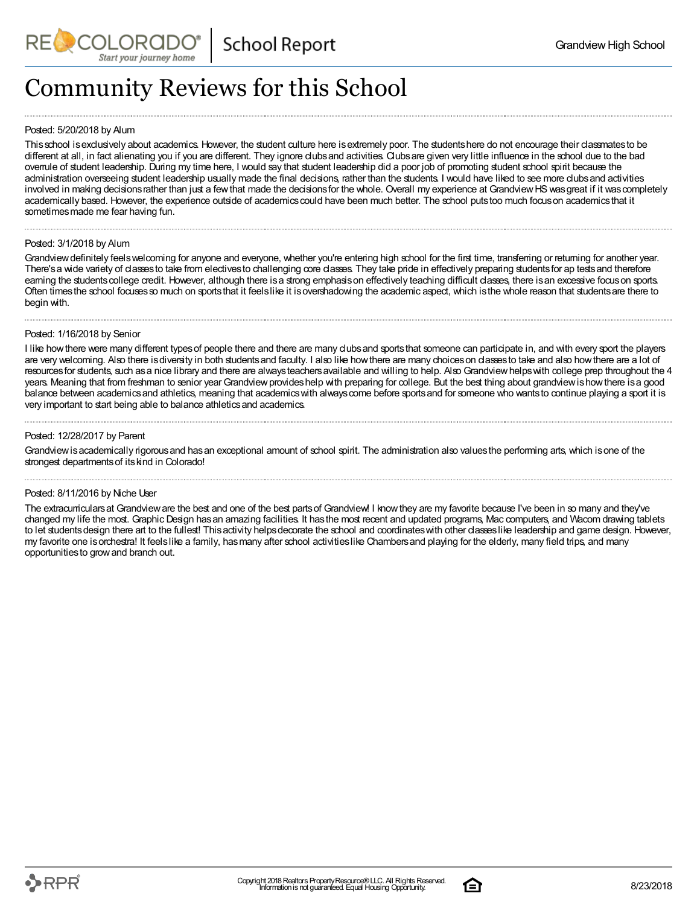

# Community Reviews for this School

### Posted: 5/20/2018 by Alum

This school is exclusively about academics. However, the student culture here is extremely poor. The students here do not encourage their classmates to be different at all, in fact alienating you if you are different. They ignore clubsand activities. Clubsare given very little influence in the school due to the bad overrule of student leadership. During my time here, I would say that student leadership did a poor job of promoting student school spirit because the administration overseeing student leadership usually made the final decisions, rather than the students. I would have liked to see more clubs and activities involved in making decisions rather than just a few that made the decisions for the whole. Overall my experience at Grandview HS was great if it was completely academically based. However, the experience outside of academics could have been much better. The school puts too much focus on academics that it sometimes made me fear having fun.

#### Posted: 3/1/2018 by Alum

Grandview definitely feels welcoming for anyone and everyone, whether you're entering high school for the first time, transferring or returning for another year. There's a wide variety of classes to take from electives to challenging core classes. They take pride in effectively preparing students for ap tests and therefore earning the students college credit. However, although there is a strong emphasis on effectively teaching difficult classes, there is an excessive focus on sports. Often timesthe school focusesso much on sportsthat it feelslike it isovershadowing the academic aspect, which isthe whole reason that studentsare there to begin with.

#### Posted: 1/16/2018 by Senior

I like how there were many different types of people there and there are many clubs and sports that someone can participate in, and with every sport the players are very welcoming. Also there is diversity in both students and faculty. I also like how there are many choices on classes to take and also how there are a lot of resources for students, such as a nice library and there are always teachers available and willing to help. Also Grandview helps with college prep throughout the 4 years. Meaning that from freshman to senior year Grandview provides help with preparing for college. But the best thing about grandview is how there is a good balance between academics and athletics, meaning that academics with always come before sports and for someone who wants to continue playing a sport it is very important to start being able to balance athletics and academics.

### Posted: 12/28/2017 by Parent

Grandviewisacademically rigorousand hasan exceptional amount of school spirit. The administration also valuesthe performing arts, which isone of the strongest departments of its kind in Colorado!

### Posted: 8/11/2016 by Niche User

The extracurriculars at Grandview are the best and one of the best parts of Grandview! I know they are my favorite because I've been in so many and they've changed my life the most. Graphic Design hasan amazing facilities. It hasthe most recent and updated programs, Mac computers, and Wacom drawing tablets to let students design there art to the fullest! This activity helps decorate the school and coordinates with other classes like leadership and game design. However, my favorite one isorchestra! It feelslike a family, hasmany after school activitieslike Chambersand playing for the elderly, many field trips, and many opportunitiesto growand branch out.

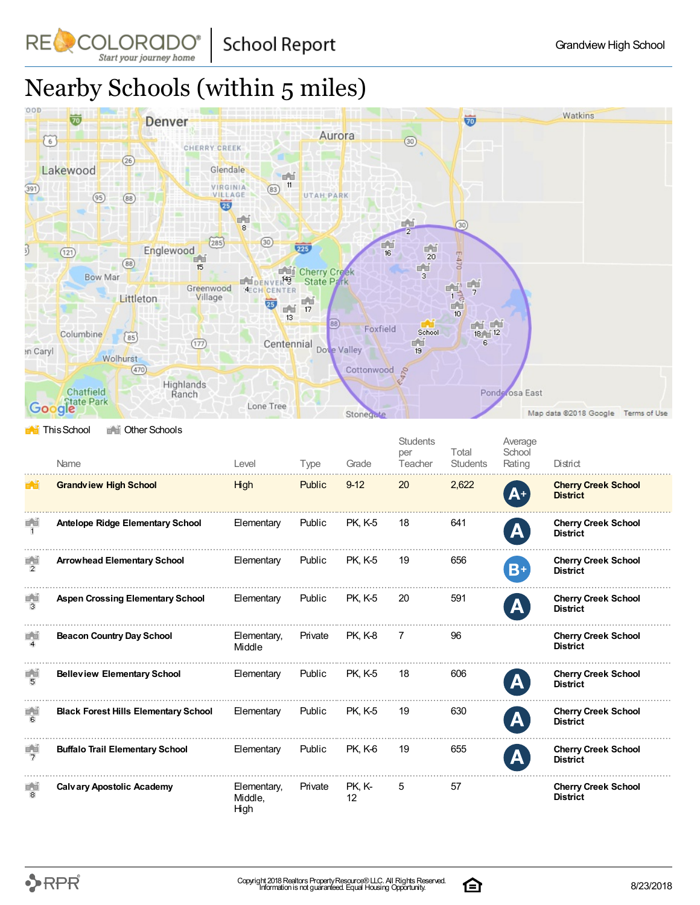**School Report** 

COLORADO Start your journey home

RE

# Nearby Schools (within 5 miles)



|                                       | Name                                        | Level                          | Type          | Grade          | <b>Students</b><br>per<br>Teacher | Total<br><b>Students</b> | Average<br>School<br>Rating | District                                      |
|---------------------------------------|---------------------------------------------|--------------------------------|---------------|----------------|-----------------------------------|--------------------------|-----------------------------|-----------------------------------------------|
| $\mathbb{H}_{\mathbb{Z}}[\mathbb{H}]$ | <b>Grandview High School</b>                | High                           | Public        | $9 - 12$       | 20                                | 2,622                    | $A^+$                       | <b>Cherry Creek School</b><br><b>District</b> |
| 画面                                    | <b>Antelope Ridge Elementary School</b>     | Elementary                     | Public        | <b>PK, K-5</b> | 18                                | 641                      | A                           | <b>Cherry Creek School</b><br><b>District</b> |
| $\frac{1}{2}$                         | <b>Arrowhead Elementary School</b>          | Elementary                     | Public        | <b>PK. K-5</b> | 19                                | 656                      | $B+$                        | <b>Cherry Creek School</b><br><b>District</b> |
| F. 1                                  | <b>Aspen Crossing Elementary School</b>     | Elementary                     | Public        | <b>PK, K-5</b> | 20                                | 591                      | A                           | <b>Cherry Creek School</b><br><b>District</b> |
| $\frac{1}{4}$                         | <b>Beacon Country Day School</b>            | Elementary,<br>Middle          | Private       | <b>PK, K-8</b> | 7                                 | 96                       |                             | <b>Cherry Creek School</b><br><b>District</b> |
| 鬧                                     | <b>Belleview Elementary School</b>          | Elementary                     | Public        | <b>PK. K-5</b> | 18                                | 606                      | A                           | <b>Cherry Creek School</b><br><b>District</b> |
| 鬧                                     | <b>Black Forest Hills Elementary School</b> | Elementary                     | <b>Public</b> | <b>PK, K-5</b> | 19                                | 630                      | $\mathbf A$                 | <b>Cherry Creek School</b><br><b>District</b> |
| 특별                                    | <b>Buffalo Trail Elementary School</b>      | Elementary                     | Public        | PK, K-6        | 19                                | 655                      | A                           | <b>Cherry Creek School</b><br><b>District</b> |
| ∎ al<br>B                             | <b>Calvary Apostolic Academy</b>            | Elementary,<br>Middle,<br>High | Private       | PK, K-<br>12   | 5                                 | 57                       |                             | <b>Cherry Creek School</b><br><b>District</b> |